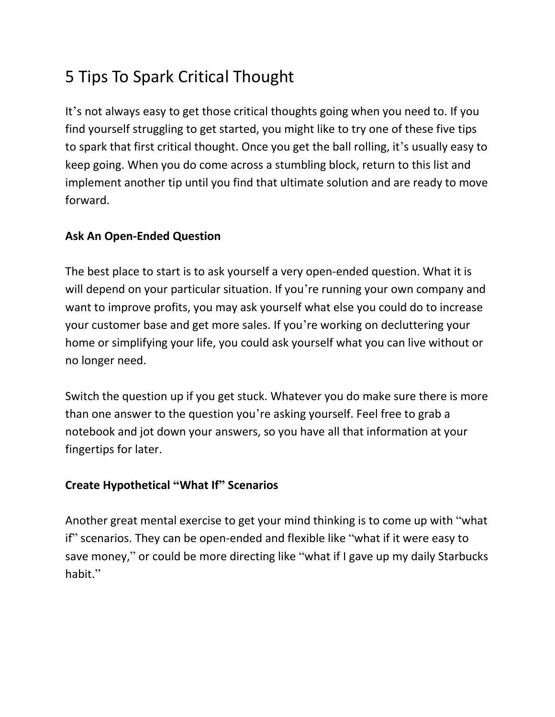# 5 Tips To Spark Critical Thought

It's not always easy to get those critical thoughts going when you need to. If you find yourself struggling to get started, you might like to try one of these five tips to spark that first critical thought. Once you get the ball rolling, it's usually easy to keep going. When you do come across a stumbling block, return to this list and implement another tip until you find that ultimate solution and are ready to move forward.

## **Ask An Open-Ended Question**

The best place to start is to ask yourself a very open-ended question. What it is will depend on your particular situation. If you're running your own company and want to improve profits, you may ask yourself what else you could do to increase your customer base and get more sales. If you're working on decluttering your home or simplifying your life, you could ask yourself what you can live without or no longer need.

Switch the question up if you get stuck. Whatever you do make sure there is more than one answer to the question you're asking yourself. Feel free to grab a notebook and jot down your answers, so you have all that information at your fingertips for later.

# **Create Hypothetical "What If" Scenarios**

Another great mental exercise to get your mind thinking is to come up with "what if" scenarios. They can be open-ended and flexible like "what if it were easy to save money," or could be more directing like "what if I gave up my daily Starbucks habit."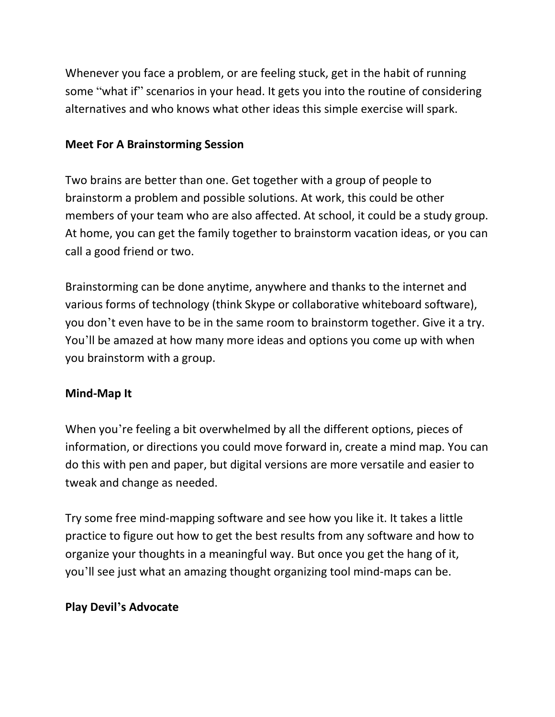Whenever you face a problem, or are feeling stuck, get in the habit of running some "what if" scenarios in your head. It gets you into the routine of considering alternatives and who knows what other ideas this simple exercise will spark.

#### **Meet For A Brainstorming Session**

Two brains are better than one. Get together with a group of people to brainstorm a problem and possible solutions. At work, this could be other members of your team who are also affected. At school, it could be a study group. At home, you can get the family together to brainstorm vacation ideas, or you can call a good friend or two.

Brainstorming can be done anytime, anywhere and thanks to the internet and various forms of technology (think Skype or collaborative whiteboard software), you don't even have to be in the same room to brainstorm together. Give it a try. You'll be amazed at how many more ideas and options you come up with when you brainstorm with a group.

## **Mind-Map It**

When you're feeling a bit overwhelmed by all the different options, pieces of information, or directions you could move forward in, create a mind map. You can do this with pen and paper, but digital versions are more versatile and easier to tweak and change as needed.

Try some free mind-mapping software and see how you like it. It takes a little practice to figure out how to get the best results from any software and how to organize your thoughts in a meaningful way. But once you get the hang of it, you'll see just what an amazing thought organizing tool mind-maps can be.

## **Play Devil's Advocate**